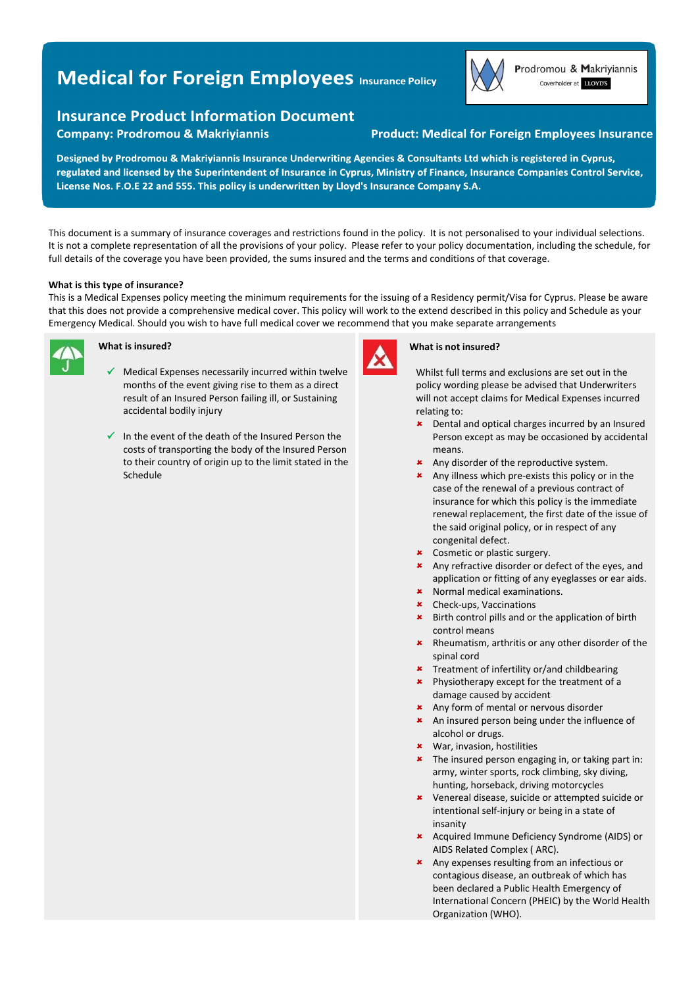# **Medical for Foreign Employees Insurance Policy**



**Company: Prodromou & Makriyiannis** 

## **Product: Medical for Foreign Employees Insurance**

Designed by Prodromou & Makriyiannis Insurance Underwriting Agencies & Consultants Ltd which is registered in Cyprus, regulated and licensed by the Superintendent of Insurance in Cyprus, Ministry of Finance, Insurance Companies Control Service, License Nos. F.O.E 22 and 555. This policy is underwritten by Lloyd's Insurance Company S.A.

This document is a summary of insurance coverages and restrictions found in the policy. It is not personalised to your individual selections. It is not a complete representation of all the provisions of your policy. Please refer to your policy documentation, including the schedule, for full details of the coverage you have been provided, the sums insured and the terms and conditions of that coverage.

### **What is this type of insurance?**

This is a Medical Expenses policy meeting the minimum requirements for the issuing of a Residency permit/Visa for Cyprus. Please be aware that this does not provide a comprehensive medical cover. This policy will work to the extend described in this policy and Schedule as your Emergency Medical. Should you wish to have full medical cover we recommend that you make separate arrangements



## **What is insured?**

- $\checkmark$  Medical Expenses necessarily incurred within twelve months of the event giving rise to them as a direct result of an Insured Person failing ill, or Sustaining accidental bodily injury
- $\checkmark$  In the event of the death of the Insured Person the costs of transporting the body of the Insured Person to their country of origin up to the limit stated in the Schedule



#### **What is not insured?**

Whilst full terms and exclusions are set out in the policy wording please be advised that Underwriters will not accept claims for Medical Expenses incurred relating to:

- **\*** Dental and optical charges incurred by an Insured Person except as may be occasioned by accidental means.
- \* Any disorder of the reproductive system.
- \* Any illness which pre-exists this policy or in the case of the renewal of a previous contract of insurance for which this policy is the immediate renewal replacement, the first date of the issue of the said original policy, or in respect of any congenital defect.
- **\*** Cosmetic or plastic surgery.
- \* Any refractive disorder or defect of the eyes, and application or fitting of any eyeglasses or ear aids.
- Normal medical examinations.
- Check‐ups, Vaccinations
- **\*** Birth control pills and or the application of birth control means
- \* Rheumatism, arthritis or any other disorder of the spinal cord
- **\*** Treatment of infertility or/and childbearing
- **\*** Physiotherapy except for the treatment of a damage caused by accident
- \* Any form of mental or nervous disorder
- \* An insured person being under the influence of alcohol or drugs.
- War, invasion, hostilities
- **\*** The insured person engaging in, or taking part in: army, winter sports, rock climbing, sky diving, hunting, horseback, driving motorcycles
- Venereal disease, suicide or attempted suicide or intentional self‐injury or being in a state of insanity
- Acquired Immune Deficiency Syndrome (AIDS) or AIDS Related Complex ( ARC).
- \* Any expenses resulting from an infectious or contagious disease, an outbreak of which has been declared a Public Health Emergency of International Concern (PHEIC) by the World Health Organization (WHO).



Prodromou & Makriyiannis Coverholder at LLOYD'S